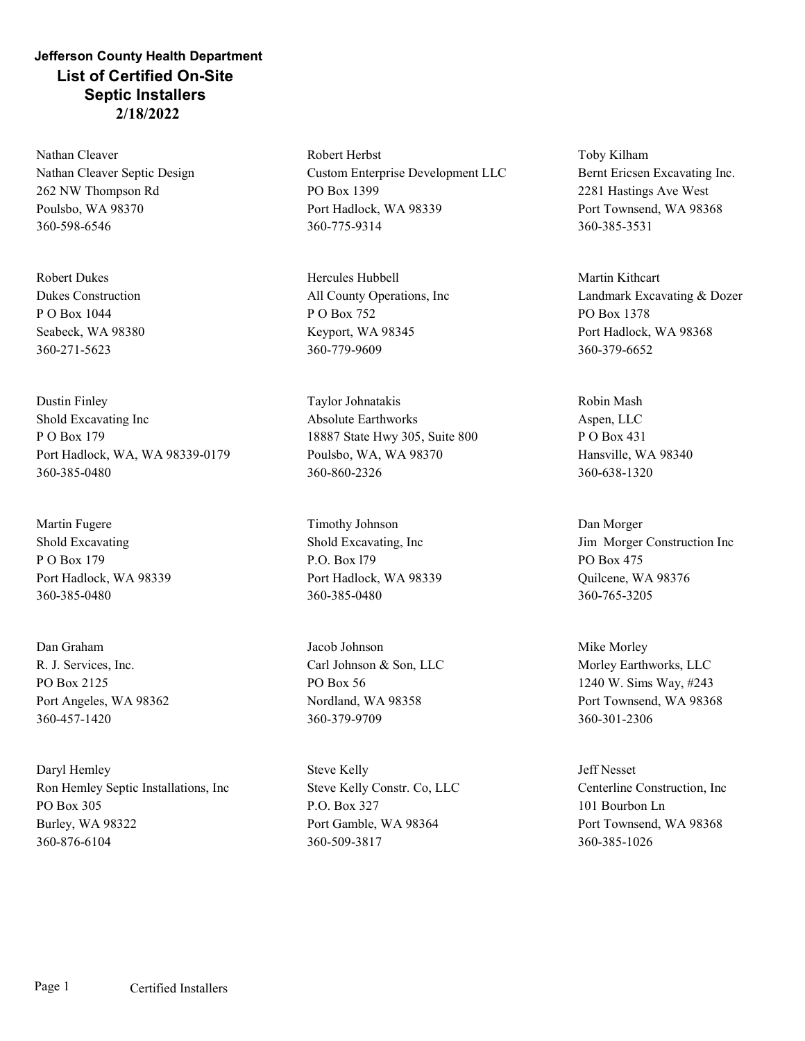## Jefferson County Health Department List of Certified On-Site Septic Installers 2/18/2022

Nathan Cleaver Nathan Cleaver Septic Design 262 NW Thompson Rd Poulsbo, WA 98370 360-598-6546

Robert Dukes Dukes Construction P O Box 1044 Seabeck, WA 98380 360-271-5623

Dustin Finley Shold Excavating Inc P O Box 179 Port Hadlock, WA, WA 98339-0179 360-385-0480

Martin Fugere Shold Excavating P O Box 179 Port Hadlock, WA 98339 360-385-0480

R. J. Services, Inc. PO Box 2125 Port Angeles, WA 98362 360-457-1420

Daryl Hemley Ron Hemley Septic Installations, Inc PO Box 305 Burley, WA 98322 360-876-6104

Robert Herbst Custom Enterprise Development LLC PO Box 1399 Port Hadlock, WA 98339 360-775-9314

Hercules Hubbell All County Operations, Inc P O Box 752 Keyport, WA 98345 360-779-9609

Taylor Johnatakis Absolute Earthworks 18887 State Hwy 305, Suite 800 Poulsbo, WA, WA 98370 360-860-2326

Timothy Johnson Shold Excavating, Inc P.O. Box l79 Port Hadlock, WA 98339 360-385-0480

Dan Graham Jacob Johnson PO Box 56 Nordland, WA 98358 360-379-9709

> Steve Kelly Steve Kelly Constr. Co, LLC P.O. Box 327 Port Gamble, WA 98364 360-509-3817

Toby Kilham Bernt Ericsen Excavating Inc. 2281 Hastings Ave West Port Townsend, WA 98368 360-385-3531

Martin Kithcart Landmark Excavating & Dozer PO Box 1378 Port Hadlock, WA 98368 360-379-6652

Robin Mash Aspen, LLC P O Box 431 Hansville, WA 98340 360-638-1320

Dan Morger Jim Morger Construction Inc PO Box 475 Quilcene, WA 98376 360-765-3205

Carl Johnson & Son, LLC Morley Earthworks, LLC Mike Morley 1240 W. Sims Way, #243 Port Townsend, WA 98368 360-301-2306

> Jeff Nesset Centerline Construction, Inc 101 Bourbon Ln Port Townsend, WA 98368 360-385-1026